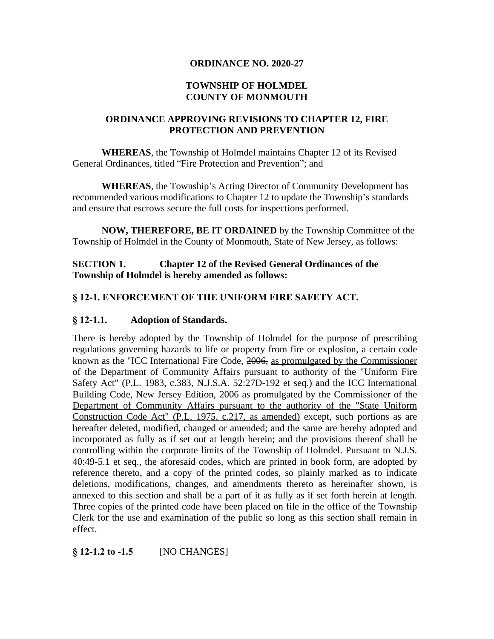#### **ORDINANCE NO. 2020-27**

#### **TOWNSHIP OF HOLMDEL COUNTY OF MONMOUTH**

### **ORDINANCE APPROVING REVISIONS TO CHAPTER 12, FIRE PROTECTION AND PREVENTION**

**WHEREAS**, the Township of Holmdel maintains Chapter 12 of its Revised General Ordinances, titled "Fire Protection and Prevention"; and

**WHEREAS**, the Township's Acting Director of Community Development has recommended various modifications to Chapter 12 to update the Township's standards and ensure that escrows secure the full costs for inspections performed.

**NOW, THEREFORE, BE IT ORDAINED** by the Township Committee of the Township of Holmdel in the County of Monmouth, State of New Jersey, as follows:

## **SECTION 1. Chapter 12 of the Revised General Ordinances of the Township of Holmdel is hereby amended as follows:**

## **§ 12-1. ENFORCEMENT OF THE UNIFORM FIRE SAFETY ACT.**

## **§ 12-1.1. Adoption of Standards.**

There is hereby adopted by the Township of Holmdel for the purpose of prescribing regulations governing hazards to life or property from fire or explosion, a certain code known as the "ICC International Fire Code, 2006, as promulgated by the Commissioner of the Department of Community Affairs pursuant to authority of the "Uniform Fire Safety Act" (P.L. 1983, c.383, N.J.S.A. 52:27D-192 et seq.) and the ICC International Building Code, New Jersey Edition, 2006 as promulgated by the Commissioner of the Department of Community Affairs pursuant to the authority of the "State Uniform Construction Code Act" (P.L. 1975, c.217, as amended) except, such portions as are hereafter deleted, modified, changed or amended; and the same are hereby adopted and incorporated as fully as if set out at length herein; and the provisions thereof shall be controlling within the corporate limits of the Township of Holmdel. Pursuant to N.J.S. 40:49-5.1 et seq., the aforesaid codes, which are printed in book form, are adopted by reference thereto, and a copy of the printed codes, so plainly marked as to indicate deletions, modifications, changes, and amendments thereto as hereinafter shown, is annexed to this section and shall be a part of it as fully as if set forth herein at length. Three copies of the printed code have been placed on file in the office of the Township Clerk for the use and examination of the public so long as this section shall remain in effect.

## **§ 12-1.2 to -1.5** [NO CHANGES]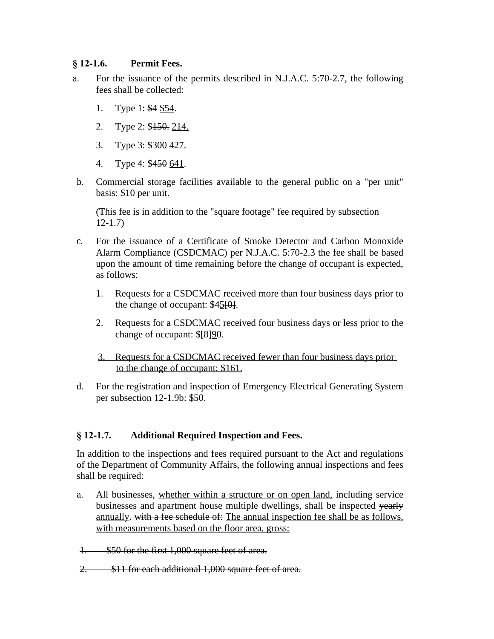#### **§ 12-1.6. Permit Fees.**

- a. For the issuance of the permits described in N.J.A.C. 5:70-2.7, the following fees shall be collected:
	- 1. Type 1: \$4 \$54.
	- 2. Type 2: \$150. 214.
	- 3. Type 3: \$300 427.
	- 4. Type 4: \$450 641.
- b. Commercial storage facilities available to the general public on a "per unit" basis: \$10 per unit.

(This fee is in addition to the "square footage" fee required by subsection 12-1.7)

- c. For the issuance of a Certificate of Smoke Detector and Carbon Monoxide Alarm Compliance (CSDCMAC) per N.J.A.C. 5:70-2.3 the fee shall be based upon the amount of time remaining before the change of occupant is expected, as follows:
	- 1. Requests for a CSDCMAC received more than four business days prior to the change of occupant:  $$45[0]$ .
	- 2. Requests for a CSDCMAC received four business days or less prior to the change of occupant:  $\frac{8}{9}$ .
	- 3. Requests for a CSDCMAC received fewer than four business days prior to the change of occupant: \$161.
- d. For the registration and inspection of Emergency Electrical Generating System per subsection 12-1.9b: \$50.

## **§ 12-1.7. Additional Required Inspection and Fees.**

In addition to the inspections and fees required pursuant to the Act and regulations of the Department of Community Affairs, the following annual inspections and fees shall be required:

a. All businesses, whether within a structure or on open land, including service businesses and apartment house multiple dwellings, shall be inspected yearly annually. with a fee schedule of: The annual inspection fee shall be as follows, with measurements based on the floor area, gross:

1. \$50 for the first 1,000 square feet of area.

2. \$11 for each additional 1,000 square feet of area.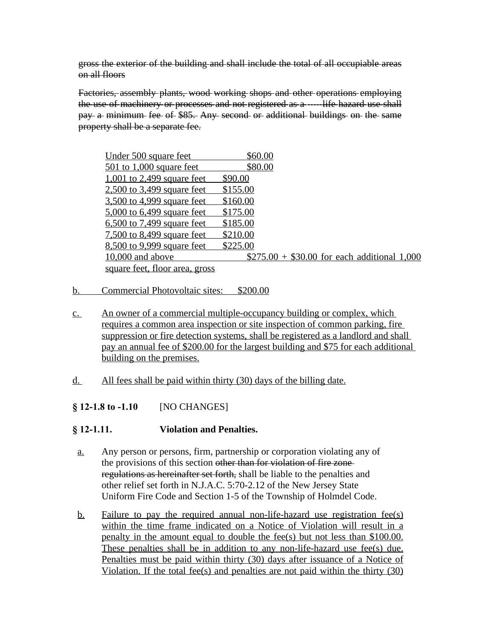gross the exterior of the building and shall include the total of all occupiable areas on all floors

Factories, assembly plants, wood working shops and other operations employing the use of machinery or processes and not registered as a ----- life hazard use shall pay a minimum fee of \$85. Any second or additional buildings on the same property shall be a separate fee.

| Under 500 square feet          | \$60.00                                      |  |
|--------------------------------|----------------------------------------------|--|
| $501$ to 1,000 square feet     | \$80.00                                      |  |
| $1,001$ to 2,499 square feet   | \$90.00                                      |  |
| $2,500$ to 3,499 square feet   | \$155.00                                     |  |
| 3,500 to 4,999 square feet     | \$160.00                                     |  |
| 5,000 to 6,499 square feet     | \$175.00                                     |  |
| 6,500 to 7,499 square feet     | \$185.00                                     |  |
| 7,500 to 8,499 square feet     | \$210.00                                     |  |
| 8,500 to 9,999 square feet     | \$225.00                                     |  |
| $10,000$ and above             | $$275.00 + $30.00$ for each additional 1,000 |  |
| square feet, floor area, gross |                                              |  |

- b. Commercial Photovoltaic sites: \$200.00
- c. An owner of a commercial multiple-occupancy building or complex, which requires a common area inspection or site inspection of common parking, fire suppression or fire detection systems, shall be registered as a landlord and shall pay an annual fee of \$200.00 for the largest building and \$75 for each additional building on the premises.
- d. All fees shall be paid within thirty (30) days of the billing date.

## **§ 12-1.8 to -1.10** [NO CHANGES]

## **§ 12-1.11. Violation and Penalties.**

- a. Any person or persons, firm, partnership or corporation violating any of the provisions of this section other than for violation of fire zone regulations as hereinafter set forth, shall be liable to the penalties and other relief set forth in N.J.A.C. 5:70-2.12 of the New Jersey State Uniform Fire Code and Section 1-5 of the Township of Holmdel Code.
- b. Failure to pay the required annual non-life-hazard use registration fee(s) within the time frame indicated on a Notice of Violation will result in a penalty in the amount equal to double the fee(s) but not less than \$100.00. These penalties shall be in addition to any non-life-hazard use fee(s) due. Penalties must be paid within thirty (30) days after issuance of a Notice of Violation. If the total fee(s) and penalties are not paid within the thirty (30)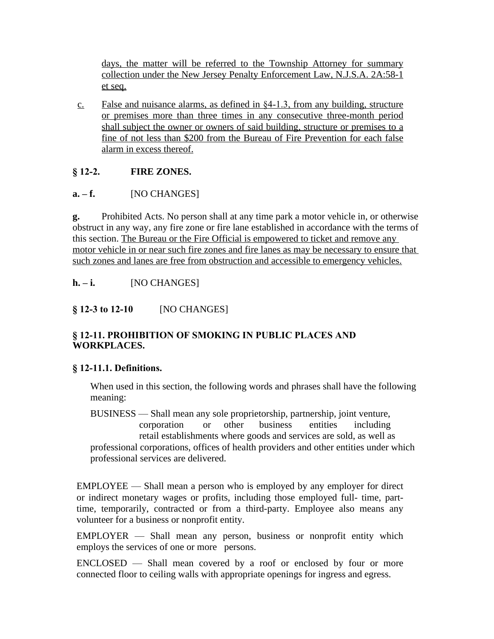days, the matter will be referred to the Township Attorney for summary collection under the New Jersey Penalty Enforcement Law, N.J.S.A. 2A:58-1 et seq.

c. False and nuisance alarms, as defined in §4-1.3, from any building, structure or premises more than three times in any consecutive three-month period shall subject the owner or owners of said building, structure or premises to a fine of not less than \$200 from the Bureau of Fire Prevention for each false alarm in excess thereof.

## **§ 12-2. FIRE ZONES.**

## **a.** – **f.** [NO CHANGES]

**g.** Prohibited Acts. No person shall at any time park a motor vehicle in, or otherwise obstruct in any way, any fire zone or fire lane established in accordance with the terms of this section. The Bureau or the Fire Official is empowered to ticket and remove any motor vehicle in or near such fire zones and fire lanes as may be necessary to ensure that such zones and lanes are free from obstruction and accessible to emergency vehicles.

## **h. – i.** [NO CHANGES]

## **§ 12-3 to 12-10** [NO CHANGES]

## **§ 12-11. PROHIBITION OF SMOKING IN PUBLIC PLACES AND WORKPLACES.**

## **§ 12-11.1. Definitions.**

When used in this section, the following words and phrases shall have the following meaning:

BUSINESS — Shall mean any sole proprietorship, partnership, joint venture, corporation or other business entities including retail establishments where goods and services are sold, as well as professional corporations, offices of health providers and other entities under which professional services are delivered.

EMPLOYEE — Shall mean a person who is employed by any employer for direct or indirect monetary wages or profits, including those employed full- time, parttime, temporarily, contracted or from a third-party. Employee also means any volunteer for a business or nonprofit entity.

EMPLOYER — Shall mean any person, business or nonprofit entity which employs the services of one or more persons.

ENCLOSED — Shall mean covered by a roof or enclosed by four or more connected floor to ceiling walls with appropriate openings for ingress and egress.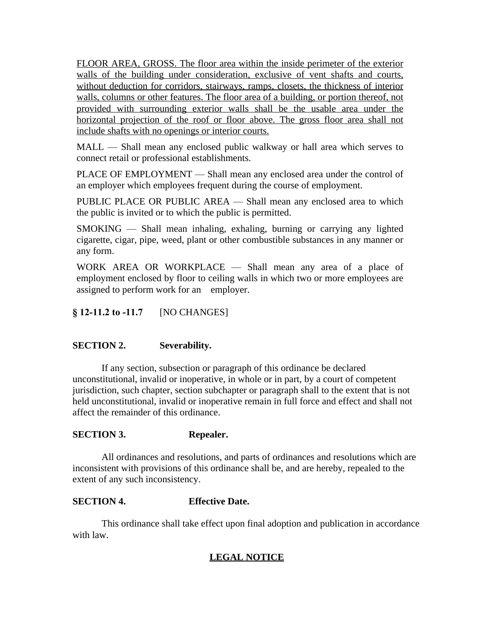FLOOR AREA, GROSS. The floor area within the inside perimeter of the exterior walls of the building under consideration, exclusive of vent shafts and courts, without deduction for corridors, stairways, ramps, closets, the thickness of interior walls, columns or other features. The floor area of a building, or portion thereof, not provided with surrounding exterior walls shall be the usable area under the horizontal projection of the roof or floor above. The gross floor area shall not include shafts with no openings or interior courts.

MALL — Shall mean any enclosed public walkway or hall area which serves to connect retail or professional establishments.

PLACE OF EMPLOYMENT — Shall mean any enclosed area under the control of an employer which employees frequent during the course of employment.

PUBLIC PLACE OR PUBLIC AREA — Shall mean any enclosed area to which the public is invited or to which the public is permitted.

SMOKING — Shall mean inhaling, exhaling, burning or carrying any lighted cigarette, cigar, pipe, weed, plant or other combustible substances in any manner or any form.

WORK AREA OR WORKPLACE — Shall mean any area of a place of employment enclosed by floor to ceiling walls in which two or more employees are assigned to perform work for an employer.

**§ 12-11.2 to -11.7** [NO CHANGES]

## **SECTION 2. Severability.**

If any section, subsection or paragraph of this ordinance be declared unconstitutional, invalid or inoperative, in whole or in part, by a court of competent jurisdiction, such chapter, section subchapter or paragraph shall to the extent that is not held unconstitutional, invalid or inoperative remain in full force and effect and shall not affect the remainder of this ordinance.

#### **SECTION 3. Repealer.**

All ordinances and resolutions, and parts of ordinances and resolutions which are inconsistent with provisions of this ordinance shall be, and are hereby, repealed to the extent of any such inconsistency.

## **SECTION 4. Effective Date.**

This ordinance shall take effect upon final adoption and publication in accordance with law.

# **LEGAL NOTICE**